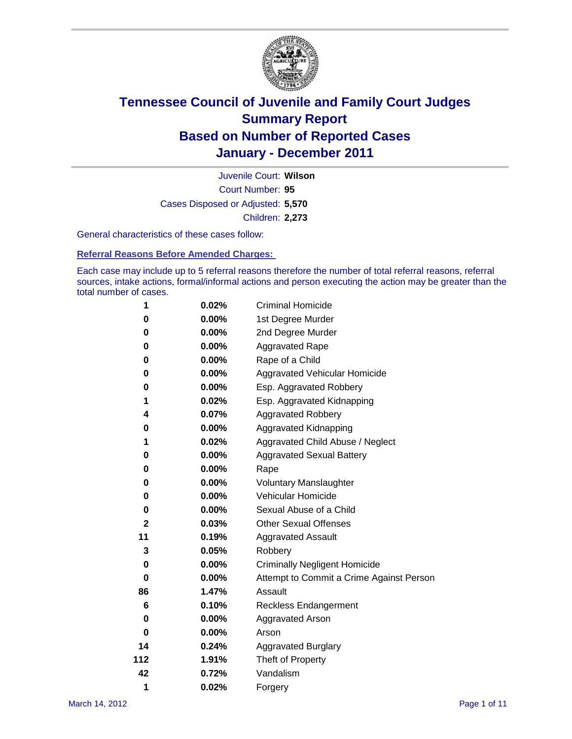

Court Number: **95** Juvenile Court: **Wilson** Cases Disposed or Adjusted: **5,570** Children: **2,273**

General characteristics of these cases follow:

**Referral Reasons Before Amended Charges:** 

Each case may include up to 5 referral reasons therefore the number of total referral reasons, referral sources, intake actions, formal/informal actions and person executing the action may be greater than the total number of cases.

| 1            | 0.02%    | <b>Criminal Homicide</b>                 |
|--------------|----------|------------------------------------------|
| 0            | 0.00%    | 1st Degree Murder                        |
| 0            | $0.00\%$ | 2nd Degree Murder                        |
| 0            | $0.00\%$ | <b>Aggravated Rape</b>                   |
| 0            | 0.00%    | Rape of a Child                          |
| 0            | 0.00%    | Aggravated Vehicular Homicide            |
| 0            | 0.00%    | Esp. Aggravated Robbery                  |
| 1            | 0.02%    | Esp. Aggravated Kidnapping               |
| 4            | 0.07%    | <b>Aggravated Robbery</b>                |
| 0            | $0.00\%$ | Aggravated Kidnapping                    |
| 1            | 0.02%    | Aggravated Child Abuse / Neglect         |
| 0            | $0.00\%$ | <b>Aggravated Sexual Battery</b>         |
| 0            | 0.00%    | Rape                                     |
| 0            | $0.00\%$ | <b>Voluntary Manslaughter</b>            |
| 0            | 0.00%    | Vehicular Homicide                       |
| 0            | $0.00\%$ | Sexual Abuse of a Child                  |
| $\mathbf{2}$ | 0.03%    | <b>Other Sexual Offenses</b>             |
| 11           | 0.19%    | <b>Aggravated Assault</b>                |
| 3            | 0.05%    | Robbery                                  |
| 0            | 0.00%    | <b>Criminally Negligent Homicide</b>     |
| 0            | $0.00\%$ | Attempt to Commit a Crime Against Person |
| 86           | 1.47%    | Assault                                  |
| 6            | 0.10%    | <b>Reckless Endangerment</b>             |
| 0            | 0.00%    | <b>Aggravated Arson</b>                  |
| 0            | 0.00%    | Arson                                    |
| 14           | 0.24%    | <b>Aggravated Burglary</b>               |
| 112          | 1.91%    | Theft of Property                        |
| 42           | 0.72%    | Vandalism                                |
| 1            | 0.02%    | Forgery                                  |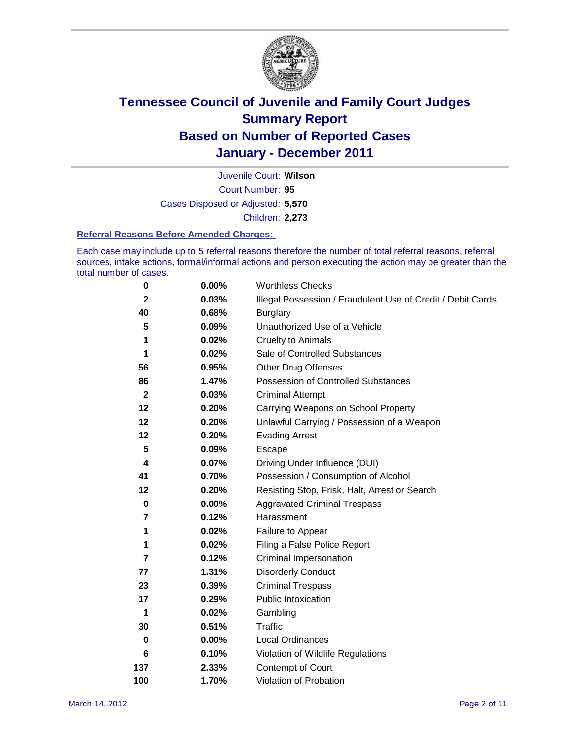

Court Number: **95** Juvenile Court: **Wilson** Cases Disposed or Adjusted: **5,570** Children: **2,273**

#### **Referral Reasons Before Amended Charges:**

Each case may include up to 5 referral reasons therefore the number of total referral reasons, referral sources, intake actions, formal/informal actions and person executing the action may be greater than the total number of cases.

| $\pmb{0}$      | 0.00%    | <b>Worthless Checks</b>                                     |
|----------------|----------|-------------------------------------------------------------|
| $\mathbf{2}$   | 0.03%    | Illegal Possession / Fraudulent Use of Credit / Debit Cards |
| 40             | 0.68%    | <b>Burglary</b>                                             |
| 5              | 0.09%    | Unauthorized Use of a Vehicle                               |
| 1              | 0.02%    | <b>Cruelty to Animals</b>                                   |
| 1              | 0.02%    | Sale of Controlled Substances                               |
| 56             | 0.95%    | <b>Other Drug Offenses</b>                                  |
| 86             | 1.47%    | Possession of Controlled Substances                         |
| $\mathbf{2}$   | 0.03%    | <b>Criminal Attempt</b>                                     |
| 12             | 0.20%    | Carrying Weapons on School Property                         |
| 12             | 0.20%    | Unlawful Carrying / Possession of a Weapon                  |
| 12             | 0.20%    | <b>Evading Arrest</b>                                       |
| 5              | 0.09%    | Escape                                                      |
| 4              | 0.07%    | Driving Under Influence (DUI)                               |
| 41             | 0.70%    | Possession / Consumption of Alcohol                         |
| 12             | 0.20%    | Resisting Stop, Frisk, Halt, Arrest or Search               |
| $\mathbf 0$    | $0.00\%$ | <b>Aggravated Criminal Trespass</b>                         |
| 7              | 0.12%    | Harassment                                                  |
| 1              | 0.02%    | Failure to Appear                                           |
| 1              | 0.02%    | Filing a False Police Report                                |
| $\overline{7}$ | 0.12%    | Criminal Impersonation                                      |
| 77             | 1.31%    | <b>Disorderly Conduct</b>                                   |
| 23             | 0.39%    | <b>Criminal Trespass</b>                                    |
| 17             | 0.29%    | <b>Public Intoxication</b>                                  |
| 1              | 0.02%    | Gambling                                                    |
| 30             | 0.51%    | <b>Traffic</b>                                              |
| 0              | $0.00\%$ | <b>Local Ordinances</b>                                     |
| 6              | 0.10%    | Violation of Wildlife Regulations                           |
| 137            | 2.33%    | Contempt of Court                                           |
| 100            | 1.70%    | Violation of Probation                                      |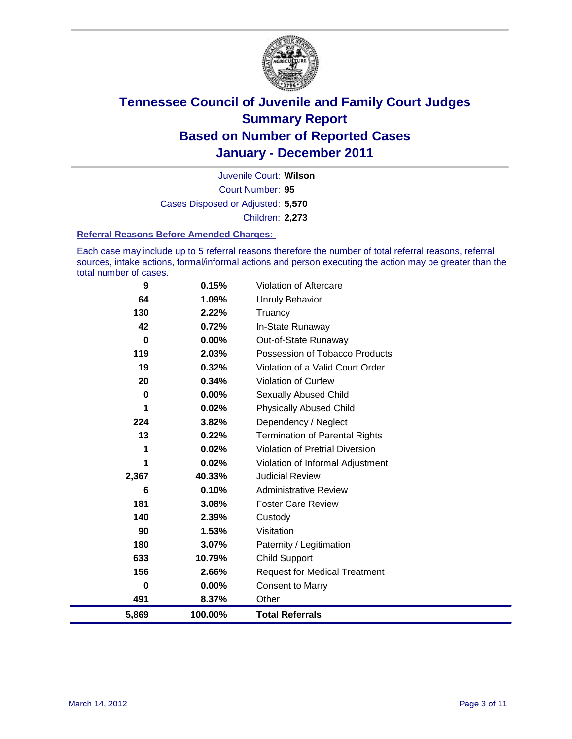

Court Number: **95** Juvenile Court: **Wilson** Cases Disposed or Adjusted: **5,570** Children: **2,273**

#### **Referral Reasons Before Amended Charges:**

Each case may include up to 5 referral reasons therefore the number of total referral reasons, referral sources, intake actions, formal/informal actions and person executing the action may be greater than the total number of cases.

| 9     | 0.15%    | Violation of Aftercare                 |
|-------|----------|----------------------------------------|
| 64    | 1.09%    | <b>Unruly Behavior</b>                 |
| 130   | 2.22%    | Truancy                                |
| 42    | 0.72%    | In-State Runaway                       |
| 0     | $0.00\%$ | Out-of-State Runaway                   |
| 119   | 2.03%    | Possession of Tobacco Products         |
| 19    | 0.32%    | Violation of a Valid Court Order       |
| 20    | 0.34%    | <b>Violation of Curfew</b>             |
| 0     | 0.00%    | Sexually Abused Child                  |
| 1     | 0.02%    | <b>Physically Abused Child</b>         |
| 224   | 3.82%    | Dependency / Neglect                   |
| 13    | 0.22%    | <b>Termination of Parental Rights</b>  |
| 1     | 0.02%    | <b>Violation of Pretrial Diversion</b> |
| 1     | 0.02%    | Violation of Informal Adjustment       |
| 2,367 | 40.33%   | <b>Judicial Review</b>                 |
| 6     | 0.10%    | <b>Administrative Review</b>           |
| 181   | 3.08%    | <b>Foster Care Review</b>              |
| 140   | 2.39%    | Custody                                |
| 90    | 1.53%    | Visitation                             |
| 180   | 3.07%    | Paternity / Legitimation               |
| 633   | 10.79%   | <b>Child Support</b>                   |
| 156   | 2.66%    | <b>Request for Medical Treatment</b>   |
| 0     | 0.00%    | <b>Consent to Marry</b>                |
| 491   | 8.37%    | Other                                  |
| 5,869 | 100.00%  | <b>Total Referrals</b>                 |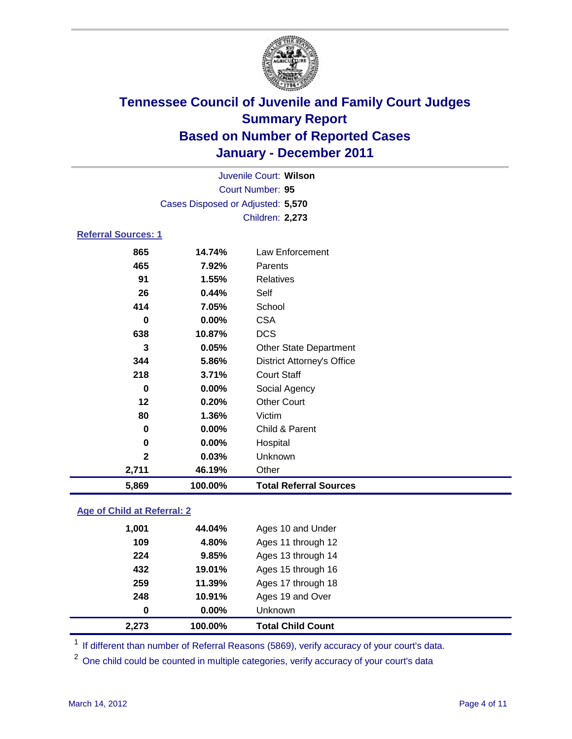

|                                   | Juvenile Court: Wilson |                                   |  |  |  |
|-----------------------------------|------------------------|-----------------------------------|--|--|--|
|                                   | Court Number: 95       |                                   |  |  |  |
| Cases Disposed or Adjusted: 5,570 |                        |                                   |  |  |  |
|                                   | Children: 2,273        |                                   |  |  |  |
| <b>Referral Sources: 1</b>        |                        |                                   |  |  |  |
| 865                               | 14.74%                 | Law Enforcement                   |  |  |  |
| 465                               | 7.92%                  | Parents                           |  |  |  |
| 91                                | 1.55%                  | <b>Relatives</b>                  |  |  |  |
| 26                                | 0.44%                  | Self                              |  |  |  |
| 414                               | 7.05%                  | School                            |  |  |  |
| 0                                 | 0.00%                  | <b>CSA</b>                        |  |  |  |
| 638                               | 10.87%                 | <b>DCS</b>                        |  |  |  |
| 3                                 | 0.05%                  | <b>Other State Department</b>     |  |  |  |
| 344                               | 5.86%                  | <b>District Attorney's Office</b> |  |  |  |
| 218                               | 3.71%                  | <b>Court Staff</b>                |  |  |  |
| $\bf{0}$                          | 0.00%                  | Social Agency                     |  |  |  |
| 12                                | 0.20%                  | <b>Other Court</b>                |  |  |  |
| 80                                | 1.36%                  | Victim                            |  |  |  |
| 0                                 | $0.00\%$               | Child & Parent                    |  |  |  |
| 0                                 | 0.00%                  | Hospital                          |  |  |  |
| $\mathbf{2}$                      | 0.03%                  | Unknown                           |  |  |  |
| 2,711                             | 46.19%                 | Other                             |  |  |  |
| 5,869                             | 100.00%                | <b>Total Referral Sources</b>     |  |  |  |

### **Age of Child at Referral: 2**

| 2,273 | 100.00% | <b>Total Child Count</b> |  |
|-------|---------|--------------------------|--|
| 0     | 0.00%   | <b>Unknown</b>           |  |
| 248   | 10.91%  | Ages 19 and Over         |  |
| 259   | 11.39%  | Ages 17 through 18       |  |
| 432   | 19.01%  | Ages 15 through 16       |  |
| 224   | 9.85%   | Ages 13 through 14       |  |
| 109   | 4.80%   | Ages 11 through 12       |  |
| 1,001 | 44.04%  | Ages 10 and Under        |  |
|       |         |                          |  |

<sup>1</sup> If different than number of Referral Reasons (5869), verify accuracy of your court's data.

<sup>2</sup> One child could be counted in multiple categories, verify accuracy of your court's data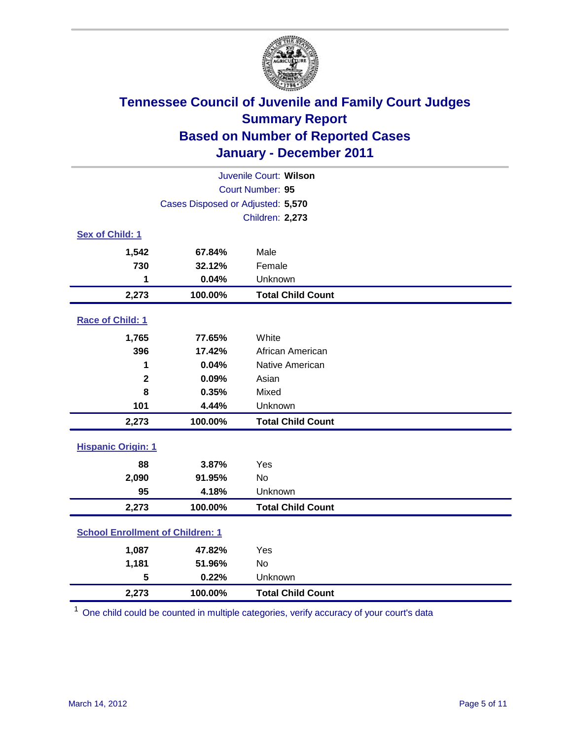

| Juvenile Court: Wilson                  |                                   |                          |  |  |
|-----------------------------------------|-----------------------------------|--------------------------|--|--|
|                                         | Court Number: 95                  |                          |  |  |
|                                         | Cases Disposed or Adjusted: 5,570 |                          |  |  |
|                                         |                                   | Children: 2,273          |  |  |
| Sex of Child: 1                         |                                   |                          |  |  |
| 1,542                                   | 67.84%                            | Male                     |  |  |
| 730                                     | 32.12%                            | Female                   |  |  |
| 1                                       | 0.04%                             | Unknown                  |  |  |
| 2,273                                   | 100.00%                           | <b>Total Child Count</b> |  |  |
| Race of Child: 1                        |                                   |                          |  |  |
| 1,765                                   | 77.65%                            | White                    |  |  |
| 396                                     | 17.42%                            | African American         |  |  |
| 1                                       | 0.04%                             | Native American          |  |  |
| $\mathbf{2}$                            | 0.09%                             | Asian                    |  |  |
| 8                                       | 0.35%                             | Mixed                    |  |  |
| 101                                     | 4.44%                             | Unknown                  |  |  |
| 2,273                                   | 100.00%                           | <b>Total Child Count</b> |  |  |
| <b>Hispanic Origin: 1</b>               |                                   |                          |  |  |
| 88                                      | 3.87%                             | Yes                      |  |  |
| 2,090                                   | 91.95%                            | No                       |  |  |
| 95                                      | 4.18%                             | Unknown                  |  |  |
| 2,273                                   | 100.00%                           | <b>Total Child Count</b> |  |  |
| <b>School Enrollment of Children: 1</b> |                                   |                          |  |  |
| 1,087                                   | 47.82%                            | Yes                      |  |  |
| 1,181                                   | 51.96%                            | <b>No</b>                |  |  |
| 5                                       | 0.22%                             | Unknown                  |  |  |
| 2,273                                   | 100.00%                           | <b>Total Child Count</b> |  |  |

<sup>1</sup> One child could be counted in multiple categories, verify accuracy of your court's data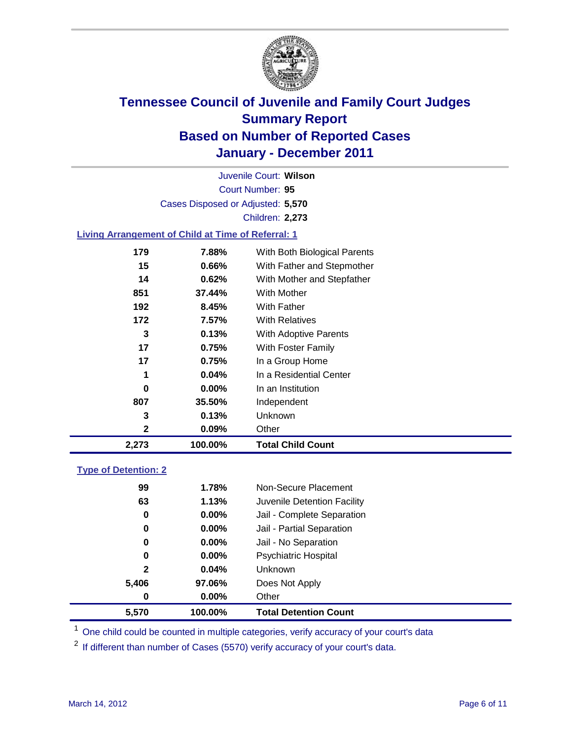

Court Number: **95** Juvenile Court: **Wilson** Cases Disposed or Adjusted: **5,570** Children: **2,273**

### **Living Arrangement of Child at Time of Referral: 1**

| 2,273 | 100.00%  | <b>Total Child Count</b>     |
|-------|----------|------------------------------|
| 2     | 0.09%    | Other                        |
| 3     | 0.13%    | Unknown                      |
| 807   | 35.50%   | Independent                  |
| 0     | $0.00\%$ | In an Institution            |
| 1     | 0.04%    | In a Residential Center      |
| 17    | 0.75%    | In a Group Home              |
| 17    | 0.75%    | With Foster Family           |
| 3     | 0.13%    | With Adoptive Parents        |
| 172   | 7.57%    | <b>With Relatives</b>        |
| 192   | 8.45%    | With Father                  |
| 851   | 37.44%   | <b>With Mother</b>           |
| 14    | 0.62%    | With Mother and Stepfather   |
| 15    | $0.66\%$ | With Father and Stepmother   |
| 179   | 7.88%    | With Both Biological Parents |
|       |          |                              |

#### **Type of Detention: 2**

| 5,570        | 100.00%  | <b>Total Detention Count</b> |
|--------------|----------|------------------------------|
| 0            | $0.00\%$ | Other                        |
| 5,406        | 97.06%   | Does Not Apply               |
| $\mathbf{2}$ | 0.04%    | Unknown                      |
| 0            | 0.00%    | Psychiatric Hospital         |
| 0            | 0.00%    | Jail - No Separation         |
| 0            | $0.00\%$ | Jail - Partial Separation    |
| 0            | 0.00%    | Jail - Complete Separation   |
| 63           | 1.13%    | Juvenile Detention Facility  |
| 99           | 1.78%    | Non-Secure Placement         |
|              |          |                              |

<sup>1</sup> One child could be counted in multiple categories, verify accuracy of your court's data

<sup>2</sup> If different than number of Cases (5570) verify accuracy of your court's data.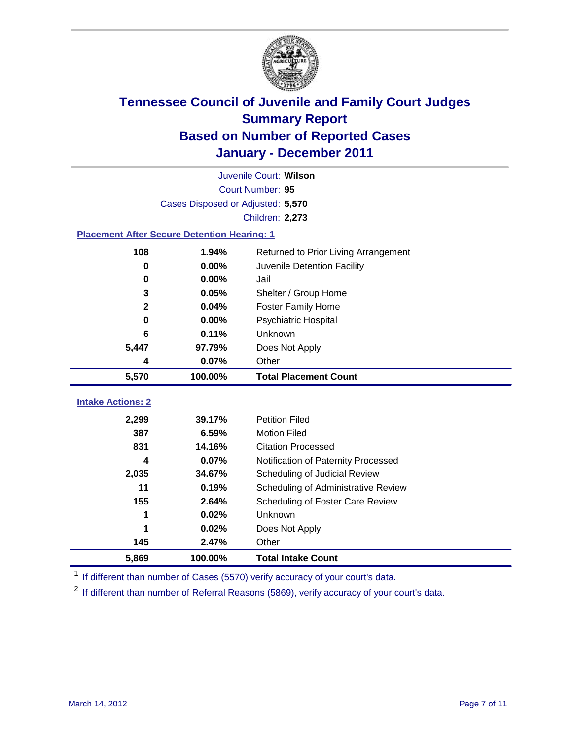

| Juvenile Court: Wilson                             |                                   |                                      |  |  |  |
|----------------------------------------------------|-----------------------------------|--------------------------------------|--|--|--|
|                                                    | Court Number: 95                  |                                      |  |  |  |
|                                                    | Cases Disposed or Adjusted: 5,570 |                                      |  |  |  |
|                                                    |                                   | <b>Children: 2,273</b>               |  |  |  |
| <b>Placement After Secure Detention Hearing: 1</b> |                                   |                                      |  |  |  |
| 108                                                | 1.94%                             | Returned to Prior Living Arrangement |  |  |  |
| 0                                                  | 0.00%                             | Juvenile Detention Facility          |  |  |  |
| 0                                                  | 0.00%                             | Jail                                 |  |  |  |
| 3                                                  | 0.05%                             | Shelter / Group Home                 |  |  |  |
| $\overline{2}$                                     | 0.04%                             | <b>Foster Family Home</b>            |  |  |  |
| $\bf{0}$                                           | 0.00%                             | Psychiatric Hospital                 |  |  |  |
| 6                                                  | 0.11%                             | Unknown                              |  |  |  |
| 5,447                                              | 97.79%                            | Does Not Apply                       |  |  |  |
| 4                                                  | 0.07%                             | Other                                |  |  |  |
| 5,570                                              | 100.00%                           | <b>Total Placement Count</b>         |  |  |  |
|                                                    |                                   |                                      |  |  |  |
| <b>Intake Actions: 2</b>                           |                                   |                                      |  |  |  |
| 2,299                                              | 39.17%                            | <b>Petition Filed</b>                |  |  |  |
| 387                                                | 6.59%                             | <b>Motion Filed</b>                  |  |  |  |
| 831                                                | 14.16%                            | <b>Citation Processed</b>            |  |  |  |
| 4                                                  | 0.07%                             | Notification of Paternity Processed  |  |  |  |
| 2,035                                              | 34.67%                            | Scheduling of Judicial Review        |  |  |  |
| 11                                                 | 0.19%                             | Scheduling of Administrative Review  |  |  |  |
| 155                                                | 2.64%                             | Scheduling of Foster Care Review     |  |  |  |
| 1                                                  | 0.02%                             | Unknown                              |  |  |  |
| 1                                                  | 0.02%                             | Does Not Apply                       |  |  |  |
| 145                                                | 2.47%                             | Other                                |  |  |  |
| 5,869                                              | 100.00%                           | <b>Total Intake Count</b>            |  |  |  |

<sup>1</sup> If different than number of Cases (5570) verify accuracy of your court's data.

<sup>2</sup> If different than number of Referral Reasons (5869), verify accuracy of your court's data.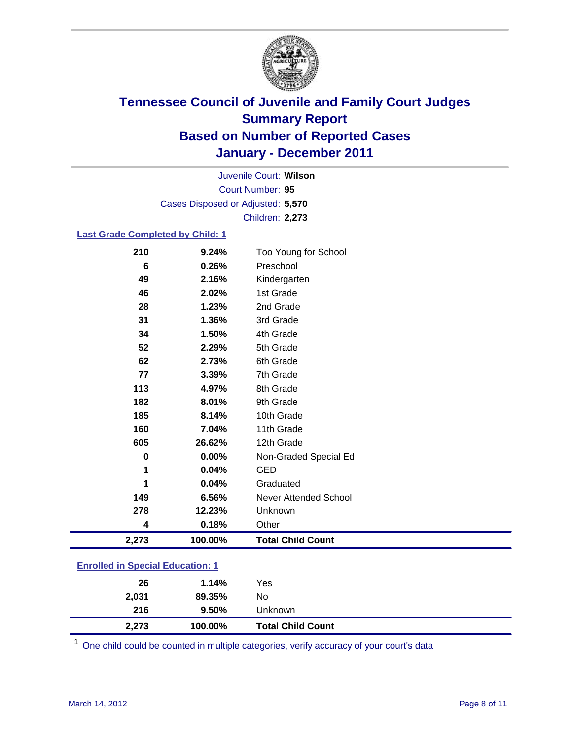

Court Number: **95** Juvenile Court: **Wilson** Cases Disposed or Adjusted: **5,570** Children: **2,273**

#### **Last Grade Completed by Child: 1**

| 210                                     | 9.24%   | Too Young for School         |  |
|-----------------------------------------|---------|------------------------------|--|
| 6                                       | 0.26%   | Preschool                    |  |
| 49                                      | 2.16%   | Kindergarten                 |  |
| 46                                      | 2.02%   | 1st Grade                    |  |
| 28                                      | 1.23%   | 2nd Grade                    |  |
| 31                                      | 1.36%   | 3rd Grade                    |  |
| 34                                      | 1.50%   | 4th Grade                    |  |
| 52                                      | 2.29%   | 5th Grade                    |  |
| 62                                      | 2.73%   | 6th Grade                    |  |
| 77                                      | 3.39%   | 7th Grade                    |  |
| 113                                     | 4.97%   | 8th Grade                    |  |
| 182                                     | 8.01%   | 9th Grade                    |  |
| 185                                     | 8.14%   | 10th Grade                   |  |
| 160                                     | 7.04%   | 11th Grade                   |  |
| 605                                     | 26.62%  | 12th Grade                   |  |
| 0                                       | 0.00%   | Non-Graded Special Ed        |  |
| 1                                       | 0.04%   | <b>GED</b>                   |  |
| 1                                       | 0.04%   | Graduated                    |  |
| 149                                     | 6.56%   | <b>Never Attended School</b> |  |
| 278                                     | 12.23%  | Unknown                      |  |
| 4                                       | 0.18%   | Other                        |  |
| 2,273                                   | 100.00% | <b>Total Child Count</b>     |  |
| <b>Enrolled in Special Education: 1</b> |         |                              |  |

| 2,273 | 100.00% | <b>Total Child Count</b> |
|-------|---------|--------------------------|
| 216   | 9.50%   | Unknown                  |
| 2,031 | 89.35%  | No                       |
| 26    | 1.14%   | Yes                      |
|       |         |                          |

One child could be counted in multiple categories, verify accuracy of your court's data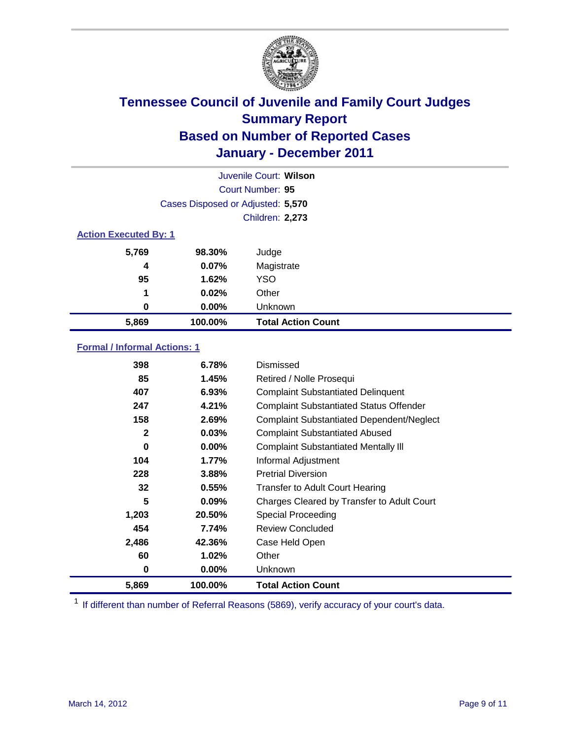

|                              | Juvenile Court: Wilson            |                           |  |  |  |
|------------------------------|-----------------------------------|---------------------------|--|--|--|
|                              | Court Number: 95                  |                           |  |  |  |
|                              | Cases Disposed or Adjusted: 5,570 |                           |  |  |  |
|                              |                                   | <b>Children: 2,273</b>    |  |  |  |
| <b>Action Executed By: 1</b> |                                   |                           |  |  |  |
| 5,769                        | 98.30%                            | Judge                     |  |  |  |
| 4                            | 0.07%                             | Magistrate                |  |  |  |
| 95                           | 1.62%                             | <b>YSO</b>                |  |  |  |
| 1                            | 0.02%                             | Other                     |  |  |  |
| 0                            | 0.00%                             | Unknown                   |  |  |  |
| 5,869                        | 100.00%                           | <b>Total Action Count</b> |  |  |  |

### **Formal / Informal Actions: 1**

| 398          | 6.78%    | Dismissed                                        |
|--------------|----------|--------------------------------------------------|
| 85           | 1.45%    | Retired / Nolle Prosequi                         |
| 407          | 6.93%    | <b>Complaint Substantiated Delinquent</b>        |
| 247          | 4.21%    | <b>Complaint Substantiated Status Offender</b>   |
| 158          | 2.69%    | <b>Complaint Substantiated Dependent/Neglect</b> |
| $\mathbf{2}$ | 0.03%    | <b>Complaint Substantiated Abused</b>            |
| 0            | $0.00\%$ | <b>Complaint Substantiated Mentally III</b>      |
| 104          | $1.77\%$ | Informal Adjustment                              |
| 228          | 3.88%    | <b>Pretrial Diversion</b>                        |
| 32           | 0.55%    | <b>Transfer to Adult Court Hearing</b>           |
| 5            | 0.09%    | Charges Cleared by Transfer to Adult Court       |
| 1,203        | 20.50%   | Special Proceeding                               |
| 454          | 7.74%    | <b>Review Concluded</b>                          |
| 2,486        | 42.36%   | Case Held Open                                   |
| 60           | 1.02%    | Other                                            |
| 0            | $0.00\%$ | <b>Unknown</b>                                   |
| 5,869        | 100.00%  | <b>Total Action Count</b>                        |

<sup>1</sup> If different than number of Referral Reasons (5869), verify accuracy of your court's data.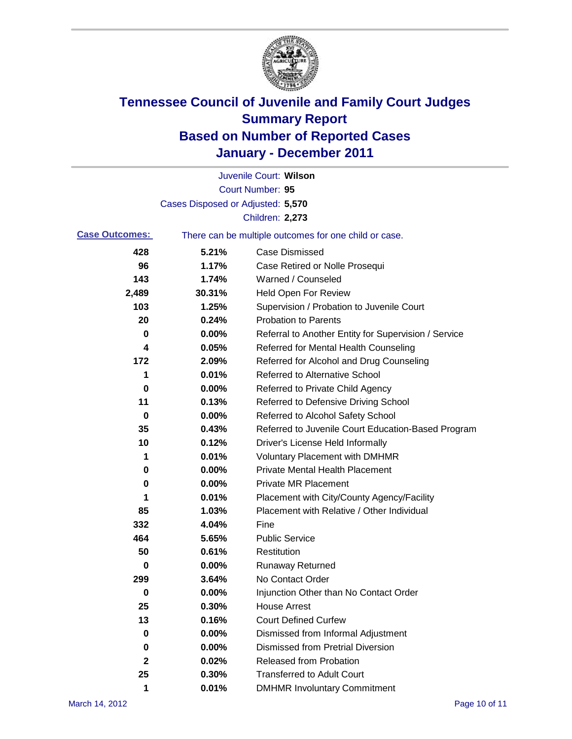

|                       |                                   | Juvenile Court: Wilson                                |
|-----------------------|-----------------------------------|-------------------------------------------------------|
|                       |                                   | Court Number: 95                                      |
|                       | Cases Disposed or Adjusted: 5,570 |                                                       |
|                       |                                   | Children: 2,273                                       |
| <b>Case Outcomes:</b> |                                   | There can be multiple outcomes for one child or case. |
| 428                   | 5.21%                             | <b>Case Dismissed</b>                                 |
| 96                    | 1.17%                             | Case Retired or Nolle Prosequi                        |
| 143                   | 1.74%                             | Warned / Counseled                                    |
| 2,489                 | 30.31%                            | <b>Held Open For Review</b>                           |
| 103                   | 1.25%                             | Supervision / Probation to Juvenile Court             |
| 20                    | 0.24%                             | <b>Probation to Parents</b>                           |
| 0                     | 0.00%                             | Referral to Another Entity for Supervision / Service  |
| 4                     | 0.05%                             | Referred for Mental Health Counseling                 |
| 172                   | 2.09%                             | Referred for Alcohol and Drug Counseling              |
| 1                     | 0.01%                             | <b>Referred to Alternative School</b>                 |
| 0                     | 0.00%                             | Referred to Private Child Agency                      |
| 11                    | 0.13%                             | Referred to Defensive Driving School                  |
| 0                     | 0.00%                             | Referred to Alcohol Safety School                     |
| 35                    | 0.43%                             | Referred to Juvenile Court Education-Based Program    |
| 10                    | 0.12%                             | Driver's License Held Informally                      |
| 1                     | 0.01%                             | <b>Voluntary Placement with DMHMR</b>                 |
| 0                     | 0.00%                             | <b>Private Mental Health Placement</b>                |
| 0                     | 0.00%                             | <b>Private MR Placement</b>                           |
| 1                     | 0.01%                             | Placement with City/County Agency/Facility            |
| 85                    | 1.03%                             | Placement with Relative / Other Individual            |
| 332                   | 4.04%                             | Fine                                                  |
| 464                   | 5.65%                             | <b>Public Service</b>                                 |
| 50                    | 0.61%                             | Restitution                                           |
| 0                     | 0.00%                             | <b>Runaway Returned</b>                               |
| 299                   | 3.64%                             | No Contact Order                                      |
| 0                     | 0.00%                             | Injunction Other than No Contact Order                |
| 25                    | 0.30%                             | <b>House Arrest</b>                                   |
| 13                    | 0.16%                             | <b>Court Defined Curfew</b>                           |
| 0                     | 0.00%                             | Dismissed from Informal Adjustment                    |
| 0                     | 0.00%                             | <b>Dismissed from Pretrial Diversion</b>              |
| $\mathbf{2}$          | 0.02%                             | Released from Probation                               |
| 25                    | 0.30%                             | <b>Transferred to Adult Court</b>                     |
| 1                     | 0.01%                             | <b>DMHMR Involuntary Commitment</b>                   |